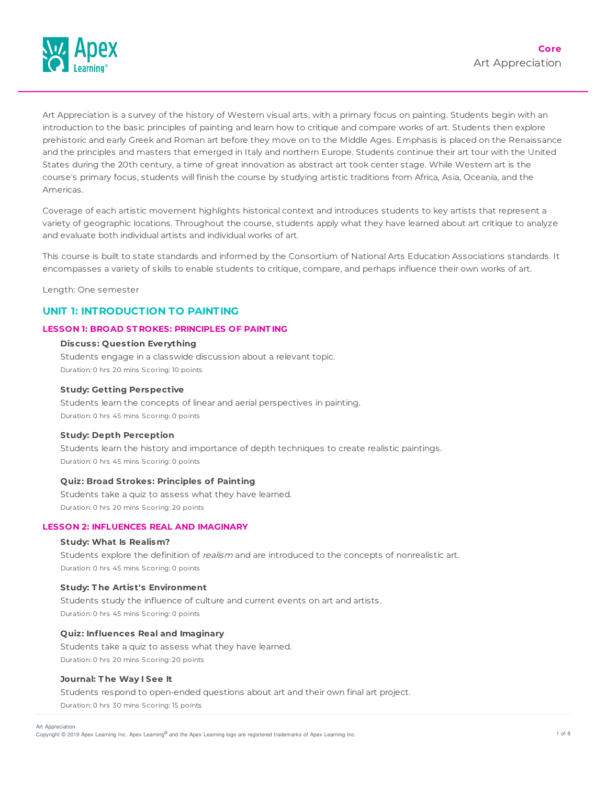

Art Appreciation is a survey of the history of Western visual arts, with a primary focus on painting. Students begin with an introduction to the basic principles of painting and learn how to critique and compare works of art. Students then explore prehistoric and early Greek and Roman art before they move on to the Middle Ages. Emphasis is placed on the Renaissance and the principles and masters that emerged in Italy and northern Europe. Students continue their art tour with the United States during the 20th century, a time of great innovation as abstract art took center stage. While Western art is the course's primary focus, students will finish the course by studying artistic traditions from Africa, Asia, Oceania, and the Americas.

Coverage of each artistic movement highlights historical context and introduces students to key artists that represent a variety of geographic locations. Throughout the course, students apply what they have learned about art critique to analyze and evaluate both individual artists and individual works of art.

This course is built to state standards and informed by the Consortium of National Arts Education Associations standards. It encompasses a variety of skills to enable students to critique, compare, and perhaps influence their own works of art.

Length: One semester

## **UNIT 1: INTRODUCTION TO PAINTING**

### **LESSON 1: BROAD ST ROKES: PRINCIPLES OF PAINT ING**

### **Discuss: Question Everything**

Students engage in a classwide discussion about a relevant topic. Duration: 0 hrs 20 mins Scoring: 10 points

#### **Study: Getting Perspective**

Students learn the concepts of linear and aerial perspectives in painting. Duration: 0 hrs 45 mins Scoring: 0 points

#### **Study: Depth Perception**

Students learn the history and importance of depth techniques to create realistic paintings. Duration: 0 hrs 45 mins Scoring: 0 points

#### **Quiz: Broad Strokes: Principles of Painting**

Students take a quiz to assess what they have learned. Duration: 0 hrs 20 mins Scoring: 20 points

### **LESSON 2: INFLUENCES REAL AND IMAGINARY**

## **Study: What Is Realism?**

Students explore the definition of realism and are introduced to the concepts of nonrealistic art. Duration: 0 hrs 45 mins Scoring: 0 points

### **Study: T he Artist's Environment**

Students study the influence of culture and current events on art and artists. Duration: 0 hrs 45 mins Scoring: 0 points

### **Quiz: Influences Real and Imaginary**

Students take a quiz to assess what they have learned. Duration: 0 hrs 20 mins Scoring: 20 points

#### **Journal: T he Way I See It**

Students respond to open-ended questions about art and their own final art project.

Duration: 0 hrs 30 mins Scoring: 15 points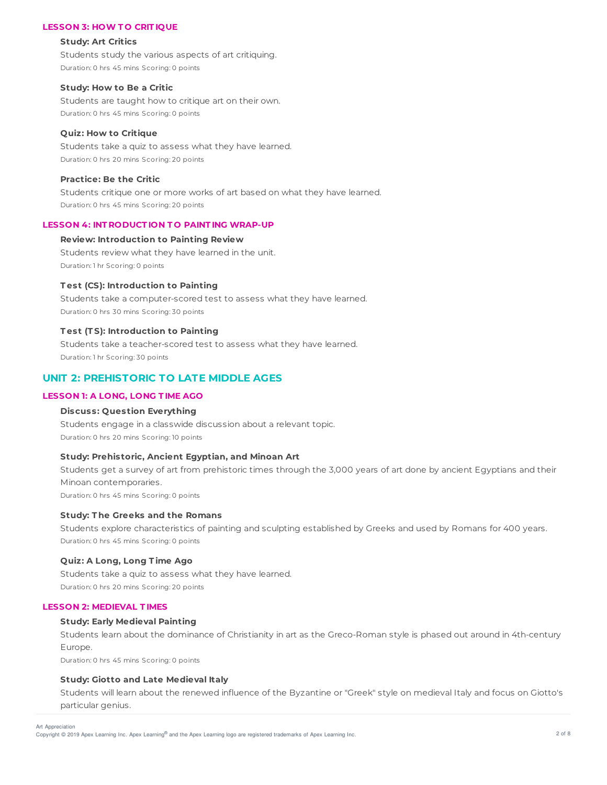### **LESSON 3: HOW T O CRIT IQUE**

#### **Study: Art Critics**

Students study the various aspects of art critiquing. Duration: 0 hrs 45 mins Scoring: 0 points

### **Study: How to Be a Critic**

Students are taught how to critique art on their own. Duration: 0 hrs 45 mins Scoring: 0 points

#### **Quiz: How to Critique**

Students take a quiz to assess what they have learned. Duration: 0 hrs 20 mins Scoring: 20 points

## **Practice: Be the Critic**

Students critique one or more works of art based on what they have learned. Duration: 0 hrs 45 mins Scoring: 20 points

#### **LESSON 4: INT RODUCT ION T O PAINT ING WRAP-UP**

### **Review: Introduction to Painting Review**

Students review what they have learned in the unit. Duration: 1 hr Scoring: 0 points

### **T est (CS): Introduction to Painting**

Students take a computer-scored test to assess what they have learned. Duration: 0 hrs 30 mins Scoring: 30 points

## **T est (T S): Introduction to Painting**

Students take a teacher-scored test to assess what they have learned. Duration: 1 hr Scoring: 30 points

## **UNIT 2: PREHISTORIC TO LATE MIDDLE AGES**

## **LESSON 1: A LONG, LONG T IME AGO**

### **Discuss: Question Everything**

Students engage in a classwide discussion about a relevant topic. Duration: 0 hrs 20 mins Scoring: 10 points

### **Study: Prehistoric, Ancient Egyptian, and Minoan Art**

Students get a survey of art from prehistoric times through the 3,000 years of art done by ancient Egyptians and their Minoan contemporaries. Duration: 0 hrs 45 mins Scoring: 0 points

## **Study: T he Greeks and the Romans**

Students explore characteristics of painting and sculpting established by Greeks and used by Romans for 400 years. Duration: 0 hrs 45 mins Scoring: 0 points

#### **Quiz: A Long, Long T ime Ago**

Students take a quiz to assess what they have learned. Duration: 0 hrs 20 mins Scoring: 20 points

### **LESSON 2: MEDIEVAL T IMES**

### **Study: Early Medieval Painting**

Students learn about the dominance of Christianity in art as the Greco-Roman style is phased out around in 4th-century Europe.

Duration: 0 hrs 45 mins Scoring: 0 points

#### **Study: Giotto and Late Medieval Italy**

Students will learn about the renewed influence of the Byzantine or "Greek" style on medieval Italy and focus on Giotto's particular genius.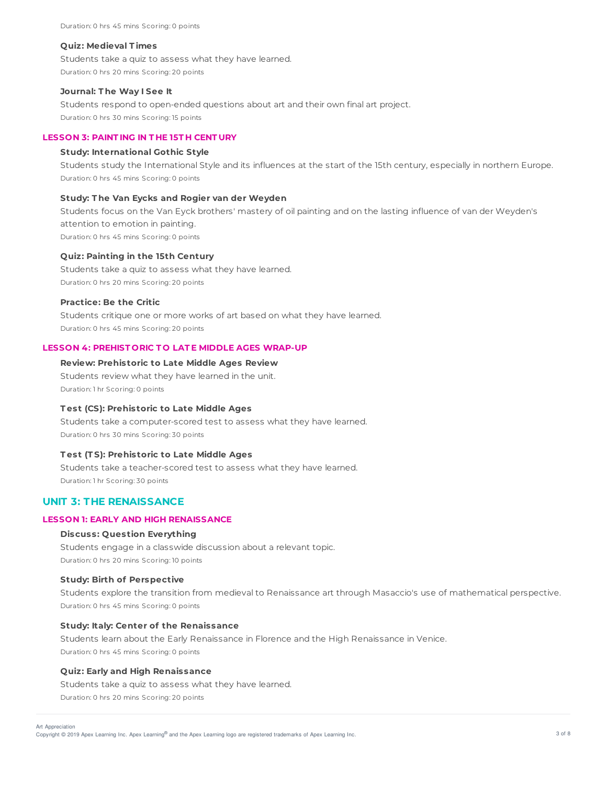#### **Quiz: Medieval T imes**

Students take a quiz to assess what they have learned. Duration: 0 hrs 20 mins Scoring: 20 points

### **Journal: T he Way I See It**

Students respond to open-ended questions about art and their own final art project. Duration: 0 hrs 30 mins Scoring: 15 points

## **LESSON 3: PAINT ING IN T HE 15T H CENT URY**

### **Study: International Gothic Style**

Students study the International Style and its influences at the start of the 15th century, especially in northern Europe. Duration: 0 hrs 45 mins Scoring: 0 points

### **Study: T he Van Eycks and Rogier van der Weyden**

Students focus on the Van Eyck brothers' mastery of oil painting and on the lasting influence of van der Weyden's attention to emotion in painting. Duration: 0 hrs 45 mins Scoring: 0 points

### **Quiz: Painting in the 15th Century**

Students take a quiz to assess what they have learned. Duration: 0 hrs 20 mins Scoring: 20 points

### **Practice: Be the Critic**

Students critique one or more works of art based on what they have learned. Duration: 0 hrs 45 mins Scoring: 20 points

## **LESSON 4: PREHIST ORIC T O LAT E MIDDLE AGES WRAP-UP**

### **Review: Prehistoric to Late Middle Ages Review**

Students review what they have learned in the unit. Duration: 1 hr Scoring: 0 points

## **T est (CS): Prehistoric to Late Middle Ages**

Students take a computer-scored test to assess what they have learned. Duration: 0 hrs 30 mins Scoring: 30 points

#### **T est (T S): Prehistoric to Late Middle Ages**

Students take a teacher-scored test to assess what they have learned. Duration: 1 hr Scoring: 30 points

## **UNIT 3: THE RENAISSANCE**

## **LESSON 1: EARLY AND HIGH RENAISSANCE**

### **Discuss: Question Everything**

Students engage in a classwide discussion about a relevant topic. Duration: 0 hrs 20 mins Scoring: 10 points

#### **Study: Birth of Perspective**

Students explore the transition from medieval to Renaissance art through Masaccio's use of mathematical perspective. Duration: 0 hrs 45 mins Scoring: 0 points

### **Study: Italy: Center of the Renaissance**

Students learn about the Early Renaissance in Florence and the High Renaissance in Venice. Duration: 0 hrs 45 mins Scoring: 0 points

### **Quiz: Early and High Renaissance**

Students take a quiz to assess what they have learned. Duration: 0 hrs 20 mins Scoring: 20 points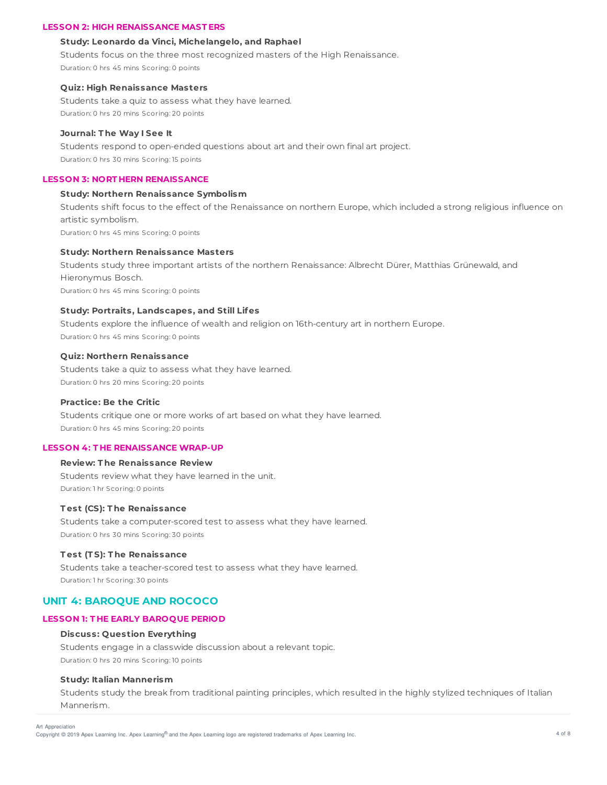### **LESSON 2: HIGH RENAISSANCE MAST ERS**

#### **Study: Leonardo da Vinci, Michelangelo, and Raphael**

Students focus on the three most recognized masters of the High Renaissance.

Duration: 0 hrs 45 mins Scoring: 0 points

### **Quiz: High Renaissance Masters**

Students take a quiz to assess what they have learned. Duration: 0 hrs 20 mins Scoring: 20 points

#### **Journal: T he Way I See It**

Students respond to open-ended questions about art and their own final art project. Duration: 0 hrs 30 mins Scoring: 15 points

## **LESSON 3: NORT HERN RENAISSANCE**

#### **Study: Northern Renaissance Symbolism**

Students shift focus to the effect of the Renaissance on northern Europe, which included a strong religious influence on artistic symbolism.

Duration: 0 hrs 45 mins Scoring: 0 points

## **Study: Northern Renaissance Masters**

Students study three important artists of the northern Renaissance: Albrecht Dürer, Matthias Grünewald, and Hieronymus Bosch. Duration: 0 hrs 45 mins Scoring: 0 points

## **Study: Portraits, Landscapes, and Still Lifes**

Students explore the influence of wealth and religion on 16th-century art in northern Europe. Duration: 0 hrs 45 mins Scoring: 0 points

### **Quiz: Northern Renaissance**

Students take a quiz to assess what they have learned. Duration: 0 hrs 20 mins Scoring: 20 points

### **Practice: Be the Critic**

Students critique one or more works of art based on what they have learned. Duration: 0 hrs 45 mins Scoring: 20 points

## **LESSON 4: T HE RENAISSANCE WRAP-UP**

#### **Review: T he Renaissance Review**

Students review what they have learned in the unit. Duration: 1 hr Scoring: 0 points

## **T est (CS): T he Renaissance**

Students take a computer-scored test to assess what they have learned. Duration: 0 hrs 30 mins Scoring: 30 points

### **T est (T S): T he Renaissance**

Students take a teacher-scored test to assess what they have learned. Duration: 1 hr Scoring: 30 points

## **UNIT 4: BAROQUE AND ROCOCO**

### **LESSON 1: T HE EARLY BAROQUE PERIOD**

### **Discuss: Question Everything**

Students engage in a classwide discussion about a relevant topic. Duration: 0 hrs 20 mins Scoring: 10 points

### **Study: Italian Mannerism**

Students study the break from traditional painting principles, which resulted in the highly stylized techniques of Italian Mannerism.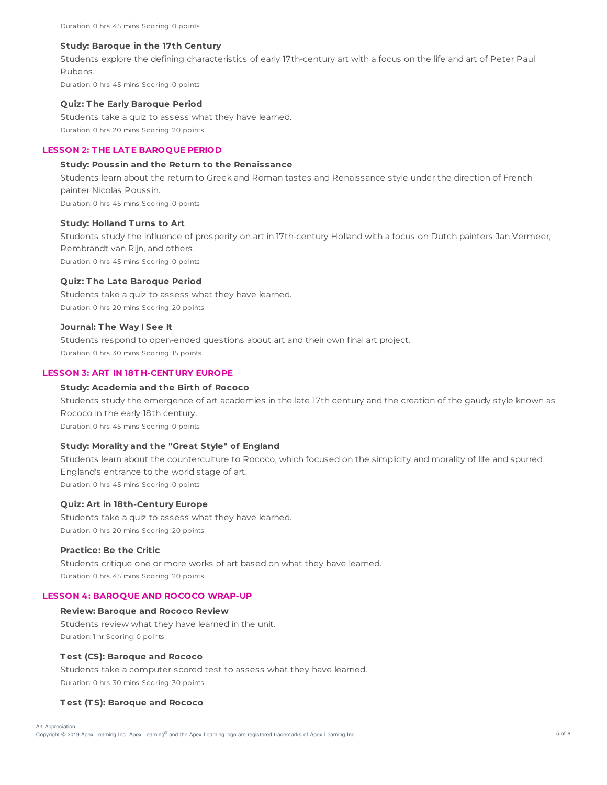Duration: 0 hrs 45 mins Scoring: 0 points

#### **Study: Baroque in the 17th Century**

Students explore the defining characteristics of early 17th-century art with a focus on the life and art of Peter Paul Rubens.

Duration: 0 hrs 45 mins Scoring: 0 points

#### **Quiz: T he Early Baroque Period**

Students take a quiz to assess what they have learned. Duration: 0 hrs 20 mins Scoring: 20 points

### **LESSON 2: T HE LAT E BAROQUE PERIOD**

### **Study: Poussin and the Return to the Renaissance**

Students learn about the return to Greek and Roman tastes and Renaissance style under the direction of French painter Nicolas Poussin.

Duration: 0 hrs 45 mins Scoring: 0 points

### **Study: Holland T urns to Art**

Students study the influence of prosperity on art in 17th-century Holland with a focus on Dutch painters Jan Vermeer, Rembrandt van Rijn, and others. Duration: 0 hrs 45 mins Scoring: 0 points

#### **Quiz: T he Late Baroque Period**

Students take a quiz to assess what they have learned. Duration: 0 hrs 20 mins Scoring: 20 points

## **Journal: T he Way I See It**

Students respond to open-ended questions about art and their own final art project. Duration: 0 hrs 30 mins Scoring: 15 points

## **LESSON 3: ART IN 18T H-CENT URY EUROPE**

### **Study: Academia and the Birth of Rococo**

Students study the emergence of art academies in the late 17th century and the creation of the gaudy style known as Rococo in the early 18th century. Duration: 0 hrs 45 mins Scoring: 0 points

# **Study: Morality and the "Great Style" of England**

Students learn about the counterculture to Rococo, which focused on the simplicity and morality of life and spurred England's entrance to the world stage of art. Duration: 0 hrs 45 mins Scoring: 0 points

#### **Quiz: Art in 18th-Century Europe**

Students take a quiz to assess what they have learned. Duration: 0 hrs 20 mins Scoring: 20 points

### **Practice: Be the Critic**

Students critique one or more works of art based on what they have learned. Duration: 0 hrs 45 mins Scoring: 20 points

#### **LESSON 4: BAROQUE AND ROCOCO WRAP-UP**

### **Review: Baroque and Rococo Review**

Students review what they have learned in the unit. Duration: 1 hr Scoring: 0 points

#### **T est (CS): Baroque and Rococo**

Students take a computer-scored test to assess what they have learned. Duration: 0 hrs 30 mins Scoring: 30 points

#### **T est (T S): Baroque and Rococo**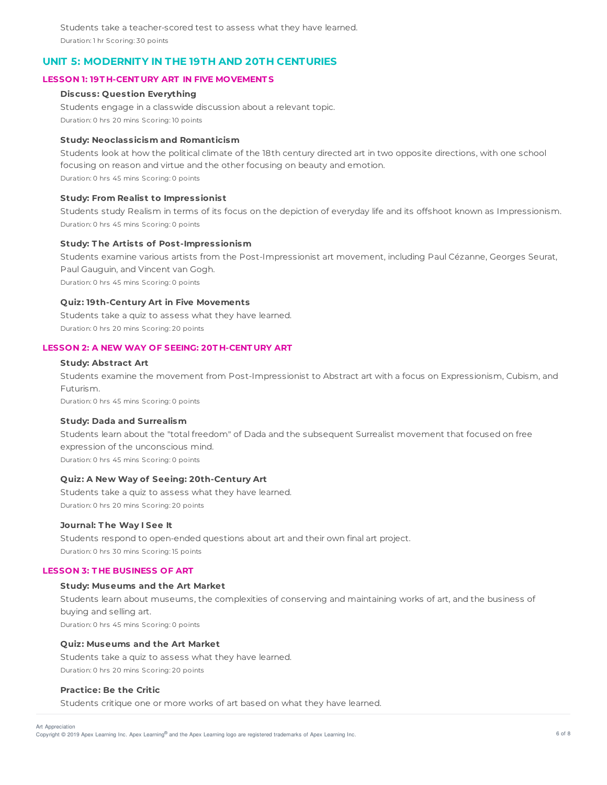Students take a teacher-scored test to assess what they have learned. Duration: 1 hr Scoring: 30 points

## **UNIT 5: MODERNITY IN THE 19TH AND 20TH CENTURIES**

## **LESSON 1: 19T H-CENT URY ART IN FIVE MOVEMENT S**

### **Discuss: Question Everything**

Students engage in a classwide discussion about a relevant topic. Duration: 0 hrs 20 mins Scoring: 10 points

### **Study: Neoclassicism and Romanticism**

Students look at how the political climate of the 18th century directed art in two opposite directions, with one school focusing on reason and virtue and the other focusing on beauty and emotion. Duration: 0 hrs 45 mins Scoring: 0 points

#### **Study: From Realist to Impressionist**

Students study Realism in terms of its focus on the depiction of everyday life and its offshoot known as Impressionism. Duration: 0 hrs 45 mins Scoring: 0 points

### **Study: T he Artists of Post-Impressionism**

Students examine various artists from the Post-Impressionist art movement, including Paul Cézanne, Georges Seurat, Paul Gauguin, and Vincent van Gogh. Duration: 0 hrs 45 mins Scoring: 0 points

#### **Quiz: 19th-Century Art in Five Movements**

Students take a quiz to assess what they have learned. Duration: 0 hrs 20 mins Scoring: 20 points

### **LESSON 2: A NEW WAY OF SEEING: 20T H-CENT URY ART**

### **Study: Abstract Art**

Students examine the movement from Post-Impressionist to Abstract art with a focus on Expressionism, Cubism, and Futurism.

Duration: 0 hrs 45 mins Scoring: 0 points

### **Study: Dada and Surrealism**

Students learn about the "total freedom" of Dada and the subsequent Surrealist movement that focused on free expression of the unconscious mind. Duration: 0 hrs 45 mins Scoring: 0 points

### **Quiz: A New Way of Seeing: 20th-Century Art**

Students take a quiz to assess what they have learned. Duration: 0 hrs 20 mins Scoring: 20 points

#### **Journal: T he Way I See It**

Students respond to open-ended questions about art and their own final art project. Duration: 0 hrs 30 mins Scoring: 15 points

### **LESSON 3: T HE BUSINESS OF ART**

#### **Study: Museums and the Art Market**

Students learn about museums, the complexities of conserving and maintaining works of art, and the business of buying and selling art. Duration: 0 hrs 45 mins Scoring: 0 points

#### **Quiz: Museums and the Art Market**

Students take a quiz to assess what they have learned. Duration: 0 hrs 20 mins Scoring: 20 points

### **Practice: Be the Critic**

Students critique one or more works of art based on what they have learned.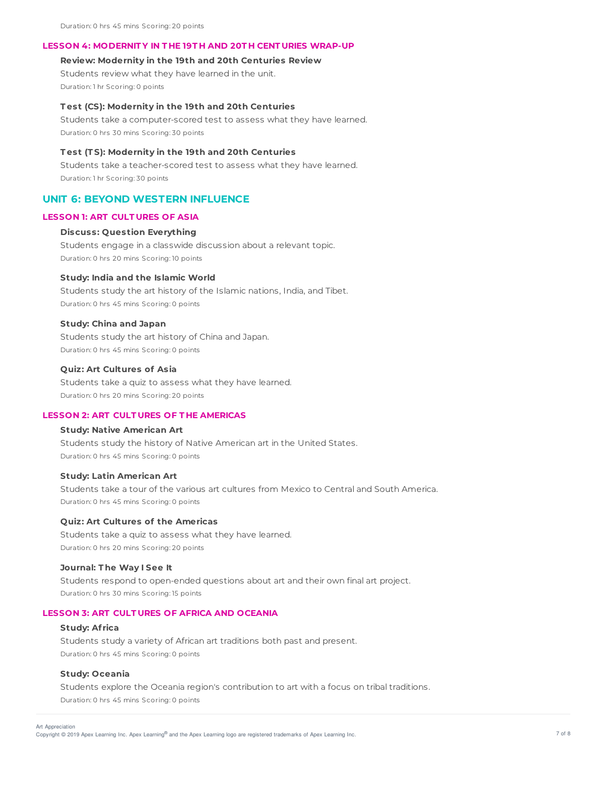## **LESSON 4: MODERNIT Y IN T HE 19T H AND 20T H CENT URIES WRAP-UP**

### **Review: Modernity in the 19th and 20th Centuries Review**

Students review what they have learned in the unit. Duration: 1 hr Scoring: 0 points

### **T est (CS): Modernity in the 19th and 20th Centuries**

Students take a computer-scored test to assess what they have learned. Duration: 0 hrs 30 mins Scoring: 30 points

### **T est (T S): Modernity in the 19th and 20th Centuries**

Students take a teacher-scored test to assess what they have learned. Duration: 1 hr Scoring: 30 points

## **UNIT 6: BEYOND WESTERN INFLUENCE**

### **LESSON 1: ART CULT URES OF ASIA**

### **Discuss: Question Everything**

Students engage in a classwide discussion about a relevant topic. Duration: 0 hrs 20 mins Scoring: 10 points

#### **Study: India and the Islamic World**

Students study the art history of the Islamic nations, India, and Tibet. Duration: 0 hrs 45 mins Scoring: 0 points

#### **Study: China and Japan**

Students study the art history of China and Japan. Duration: 0 hrs 45 mins Scoring: 0 points

### **Quiz: Art Cultures of Asia**

Students take a quiz to assess what they have learned. Duration: 0 hrs 20 mins Scoring: 20 points

#### **LESSON 2: ART CULT URES OF T HE AMERICAS**

### **Study: Native American Art**

Students study the history of Native American art in the United States. Duration: 0 hrs 45 mins Scoring: 0 points

#### **Study: Latin American Art**

Students take a tour of the various art cultures from Mexico to Central and South America. Duration: 0 hrs 45 mins Scoring: 0 points

### **Quiz: Art Cultures of the Americas**

Students take a quiz to assess what they have learned. Duration: 0 hrs 20 mins Scoring: 20 points

#### **Journal: T he Way I See It**

Students respond to open-ended questions about art and their own final art project. Duration: 0 hrs 30 mins Scoring: 15 points

### **LESSON 3: ART CULT URES OF AFRICA AND OCEANIA**

### **Study: Af rica**

Students study a variety of African art traditions both past and present. Duration: 0 hrs 45 mins Scoring: 0 points

#### **Study: Oceania**

Students explore the Oceania region's contribution to art with a focus on tribal traditions. Duration: 0 hrs 45 mins Scoring: 0 points